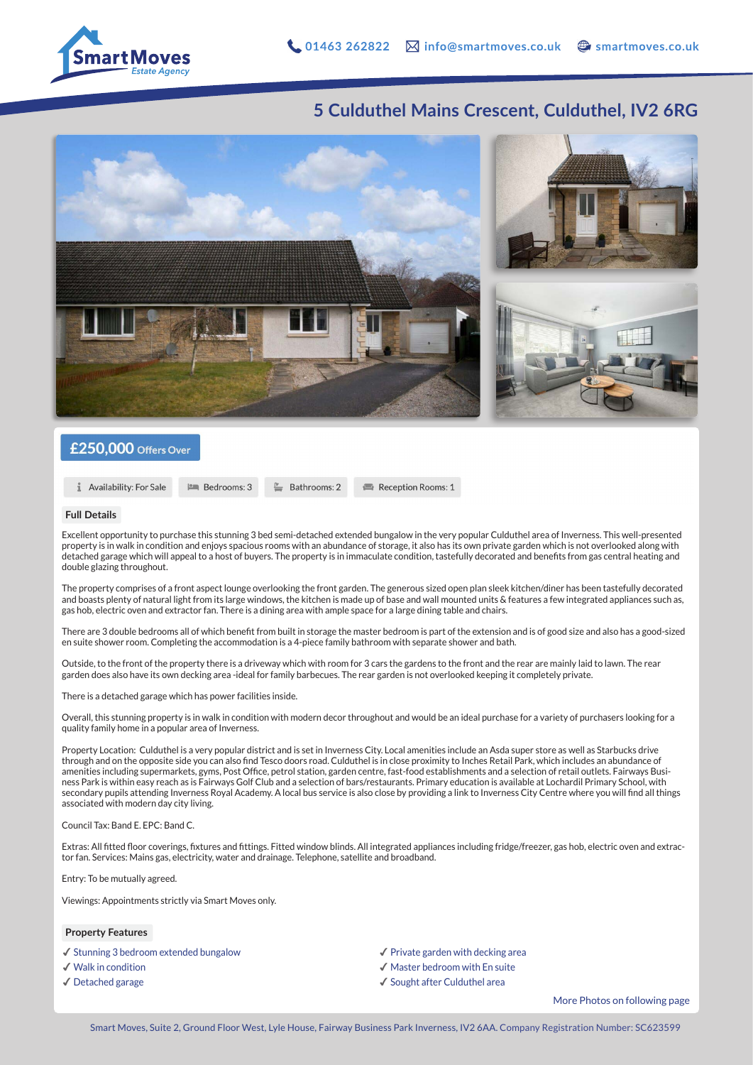

## **5 Culduthel Mains Crescent, Culduthel, IV2 6RG**



### £250,000 Offers Over

**1** Availability: For Sale

**Em** Bedrooms: 3

#### **Full Details**

Excellent opportunity to purchase this stunning 3 bed semi-detached extended bungalow in the very popular Culduthel area of Inverness. This well-presented property is in walk in condition and enjoys spacious rooms with an abundance of storage, it also has its own private garden which is not overlooked along with detached garage which will appeal to a host of buyers. The property is in immaculate condition, tastefully decorated and benefits from gas central heating and double glazing throughout.

Reception Rooms: 1

 $\equiv$  Bathrooms: 2

The property comprises of a front aspect lounge overlooking the front garden. The generous sized open plan sleek kitchen/diner has been tastefully decorated and boasts plenty of natural light from its large windows, the kitchen is made up of base and wall mounted units & features a few integrated appliances such as, gas hob, electric oven and extractor fan. There is a dining area with ample space for a large dining table and chairs.

There are 3 double bedrooms all of which benefit from built in storage the master bedroom is part of the extension and is of good size and also has a good-sized en suite shower room. Completing the accommodation is a 4-piece family bathroom with separate shower and bath.

Outside, to the front of the property there is a driveway which with room for 3 cars the gardens to the front and the rear are mainly laid to lawn. The rear garden does also have its own decking area -ideal for family barbecues. The rear garden is not overlooked keeping it completely private.

There is a detached garage which has power facilities inside.

Overall, this stunning property is in walk in condition with modern decor throughout and would be an ideal purchase for a variety of purchasers looking for a quality family home in a popular area of Inverness.

Property Location: Culduthel is a very popular district and is set in Inverness City. Local amenities include an Asda super store as well as Starbucks drive through and on the opposite side you can also find Tesco doors road. Culduthel is in close proximity to Inches Retail Park, which includes an abundance of amenities including supermarkets, gyms, Post Office, petrol station, garden centre, fast-food establishments and a selection of retail outlets. Fairways Business Park is within easy reach as is Fairways Golf Club and a selection of bars/restaurants. Primary education is available at Lochardil Primary School, with secondary pupils attending Inverness Royal Academy. A local bus service is also close by providing a link to Inverness City Centre where you will find all things associated with modern day city living.

#### Council Tax: Band E. EPC: Band C.

Extras: All fitted floor coverings, fixtures and fittings. Fitted window blinds. All integrated appliances including fridge/freezer, gas hob, electric oven and extractor fan. Services: Mains gas, electricity, water and drainage. Telephone, satellite and broadband.

Entry: To be mutually agreed.

Viewings: Appointments strictly via Smart Moves only.

#### **Property Features**

- ✔︎ Stunning 3 bedroom extended bungalow
- ✔︎ Walk in condition
- ✔︎ Detached garage
- ✔︎ Private garden with decking area
- ✔︎ Master bedroom with En suite
- ✔︎ Sought after Culduthel area

More Photos on following page